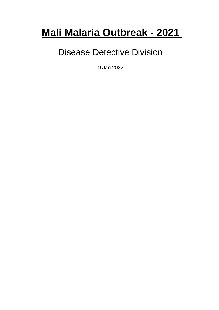# **Mali Malaria Outbreak - 2021**

# **Disease Detective Division**

19 Jan 2022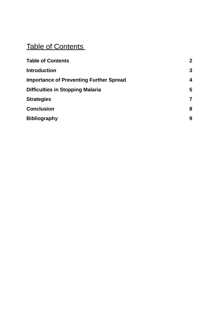# <span id="page-1-0"></span>Table of Contents

| <b>Table of Contents</b>                       | $\mathbf 2$ |
|------------------------------------------------|-------------|
| <b>Introduction</b>                            | 3           |
| <b>Importance of Preventing Further Spread</b> | 4           |
| <b>Difficulties in Stopping Malaria</b>        | 5           |
| <b>Strategies</b>                              | 7           |
| <b>Conclusion</b>                              | 8           |
| <b>Bibliography</b>                            | 9           |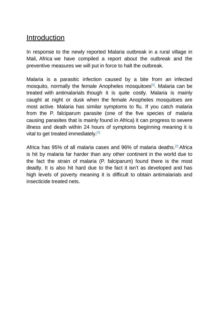#### <span id="page-2-0"></span>**Introduction**

In response to the newly reported Malaria outbreak in a rural village in Mali, Africa we have compiled a report about the outbreak and the preventive measures we will put in force to halt the outbreak.

Malaria is a parasitic infection caused by a bite from an infected mosquito, normally the female Anopheles mosquitoes<sup>[\[1\]](https://www.nhs.uk/conditions/malaria/#%3A%7E%3Atext%3Dfemale%20anopheles%20mosquitoes)</sup>. Malaria can be treated with antimalarials though it is quite costly. Malaria is mainly caught at night or dusk when the female Anopheles mosquitoes are most active. Malaria has similar symptoms to flu. If you catch malaria from the P. falciparum parasite (one of the five species of malaria causing parasites that is mainly found in Africa) it can progress to severe illness and death within 24 hours of symptoms beginning meaning it is vital to get treated immediately.<sup>[\[7\]](https://www.who.int/news-room/fact-sheets/detail/malaria#%3A%7E%3Atext%3Dleft%20untreated%2C%20p.%20falciparum%20malaria%20can%20progress%20to%20severe%20illness%20and%20death%20within%20a%20period%20of%2024%20hours)</sup>

Africa has 95% of all malaria cases and 96% of malaria deaths.<sup>[\[7\]](https://www.who.int/news-room/fact-sheets/detail/malaria#%3A%7E%3Atext%3Dthe%20who%20african%20region%20carries%20a%20disproportionately%20high%20share%20of%20the%20global%20malaria%20burden.%20in%202020%2C%20the%20region%20was%20home%20to%2095%25%20of%20malaria%20cases%20and%2096%25%20of%20malaria%20deaths.%20children%20under%205%20accounted%20for%20an%20estimated%2080%25%20of%20all%20malaria%20deaths%20in%20the%20region)</sup> Africa is hit by malaria far harder than any other continent in the world due to the fact the strain of malaria (P. falciparum) found there is the most deadly. It is also hit hard due to the fact it isn't as developed and has high levels of poverty meaning it is difficult to obtain antimalarials and insecticide treated nets.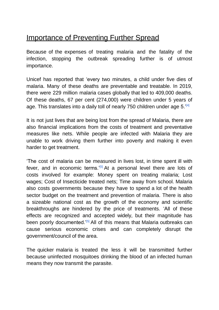#### <span id="page-3-0"></span>Importance of Preventing Further Spread

Because of the expenses of treating malaria and the fatality of the infection, stopping the outbreak spreading further is of utmost importance.

Unicef has reported that 'every two minutes, a child under five dies of malaria. Many of these deaths are preventable and treatable. In 2019, there were 229 million malaria cases globally that led to 409,000 deaths. Of these deaths, 67 per cent (274,000) were children under 5 years of age. This translates into a daily toll of nearly 750 children under age  $5^{14}$ 

It is not just lives that are being lost from the spread of Malaria, there are also financial implications from the costs of treatment and preventative measures like nets. While people are infected with Malaria they are unable to work driving them further into poverty and making it even harder to get treatment.

'The cost of malaria can be measured in lives lost, in time spent ill with fever, and in economic terms.<sup>'[\[5\]](https://www.ncbi.nlm.nih.gov/books/NBK215634/#%3A%7E%3Atext%3DThe%20cost%20of%2Cbeen%20poorly%20documented)</sup> At a personal level there are lots of costs involved for example: Money spent on treating malaria; Lost wages; Cost of Insecticide treated nets; Time away from school. Malaria also costs governments because they have to spend a lot of the health sector budget on the treatment and prevention of malaria. There is also a sizeable national cost as the growth of the economy and scientific breakthroughs are hindered by the price of treatments. 'All of these effects are recognized and accepted widely, but their magnitude has been poorly documented.<sup>[\[5\]](https://www.ncbi.nlm.nih.gov/books/NBK215634/#%3A%7E%3Atext%3DThe%20cost%20of%2Cbeen%20poorly%20documented)</sup> All of this means that Malaria outbreaks can cause serious economic crises and can completely disrupt the government/council of the area.

The quicker malaria is treated the less it will be transmitted further because uninfected mosquitoes drinking the blood of an infected human means they now transmit the parasite.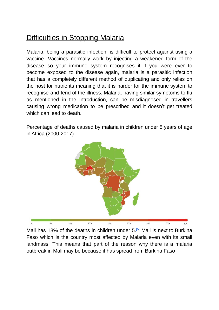# <span id="page-4-0"></span>Difficulties in Stopping Malaria

Malaria, being a parasitic infection, is difficult to protect against using a vaccine. Vaccines normally work by injecting a weakened form of the disease so your immune system recognises it if you were ever to become exposed to the disease again, malaria is a parasitic infection that has a completely different method of duplicating and only relies on the host for nutrients meaning that it is harder for the immune system to recognise and fend of the illness. Malaria, having similar symptoms to flu as mentioned in the Introduction, can be misdiagnosed in travellers causing wrong medication to be prescribed and it doesn't get treated which can lead to death.

Percentage of deaths caused by malaria in children under 5 years of age in Africa (2000-2017)



Mali has 18% of the deaths in children under  $5^{5}$  Mali is next to Burkina Faso which is the country most affected by Malaria even with its small landmass. This means that part of the reason why there is a malaria outbreak in Mali may be because it has spread from Burkina Faso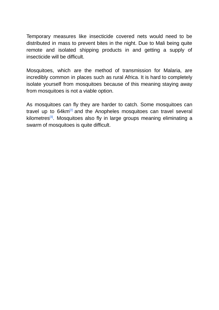Temporary measures like insecticide covered nets would need to be distributed in mass to prevent bites in the night. Due to Mali being quite remote and isolated shipping products in and getting a supply of insecticide will be difficult.

Mosquitoes, which are the method of transmission for Malaria, are incredibly common in places such as rural Africa. It is hard to completely isolate yourself from mosquitoes because of this meaning staying away from mosquitoes is not a viable option.

As mosquitoes can fly they are harder to catch. Some mosquitoes can travel up to 64km<sup>[\[2\]](https://mosquitonix.com/blogs/news/how-far-can-mosquitoes-fly#%3A%7E%3Atext%3D%E2%97%BE%EF%B8%8F%20How%20far%20do%2Ctheir%20breeding%20ground)</sup> and the Anopheles mosquitoes can travel several kilometres<sup>[\[3\]](https://www.malariasite.com/anopheles-mosquito/#%3A%7E%3Atext%3DHow%20far%20do%2Cships%20and%20aircraft)</sup>. Mosquitoes also fly in large groups meaning eliminating a swarm of mosquitoes is quite difficult.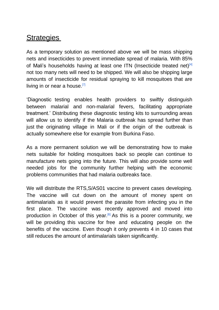#### <span id="page-6-0"></span>**Strategies**

As a temporary solution as mentioned above we will be mass shipping nets and insecticides to prevent immediate spread of malaria. With 85% of Mali's households having at least one ITN (Insecticide treated net)<sup>[\[4\]](https://data.unicef.org/topic/child-health/malaria/#%3A%7E%3Atext%3DMost%20countries%20in%2Cthis%20preventive%20measure)</sup> not too many nets will need to be shipped. We will also be shipping large amounts of insecticide for residual spraying to kill mosquitoes that are living in or near a house.  $[7]$ 

'Diagnostic testing enables health providers to swiftly distinguish between malarial and non-malarial fevers, facilitating appropriate treatment.' Distributing these diagnostic testing kits to surrounding areas will allow us to identify if the Malaria outbreak has spread further than just the originating village in Mali or if the origin of the outbreak is actually somewhere else for example from Burkina Faso.

As a more permanent solution we will be demonstrating how to make nets suitable for holding mosquitoes back so people can continue to manufacture nets going into the future. This will also provide some well needed jobs for the community further helping with the economic problems communities that had malaria outbreaks face.

We will distribute the RTS,S/AS01 vaccine to prevent cases developing. The vaccine will cut down on the amount of money spent on antimalarials as it would prevent the parasite from infecting you in the first place. The vaccine was recently approved and moved into production in October of this year.<sup>[\[6\]](https://www.niaid.nih.gov/diseases-conditions/malaria-strategies#%3A%7E%3Atext%3Dfor%20these%20populations.-%2CVaccine%20Development%2Cto%20the%20mosquito%20vector.%2C-Drug%20Development)</sup> As this is a poorer community, we will be providing this vaccine for free and educating people on the benefits of the vaccine. Even though it only prevents 4 in 10 cases that still reduces the amount of antimalarials taken significantly.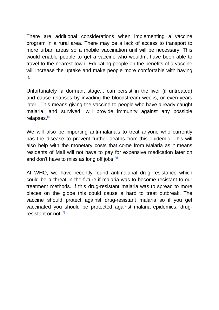There are additional considerations when implementing a vaccine program in a rural area. There may be a lack of access to transport to more urban areas so a mobile vaccination unit will be necessary. This would enable people to get a vaccine who wouldn't have been able to travel to the nearest town. Educating people on the benefits of a vaccine will increase the uptake and make people more comfortable with having it.

Unfortunately 'a dormant stage... can persist in the liver (if untreated) and cause relapses by invading the bloodstream weeks, or even years later.' This means giving the vaccine to people who have already caught malaria, and survived, will provide immunity against any possible relapses.<sup>[\[8\]](https://www.cdc.gov/malaria/about/biology/index.html#%3A%7E%3Atext%3Da%20dormant%20stage%20%5Bhypnozoites%5D%20can%20persist%20in%20the%20liver%20(if%20untreated)%20and%20cause%20relapses%20by%20invading%20the%20bloodstream%20weeks%2C%20or%20even%20years%20later)</sup>

We will also be importing anti-malarials to treat anyone who currently has the disease to prevent further deaths from this epidemic. This will also help with the monetary costs that come from Malaria as it means residents of Mali will not have to pay for expensive medication later on and don't have to miss as long off jobs.<sup>[\[6\]](https://www.niaid.nih.gov/diseases-conditions/malaria-strategies#%3A%7E%3Atext%3DDrug%20Development%2Cemerging%20drug%20resistance)</sup>

At WHO, we have recently found antimalarial drug resistance which could be a threat in the future if malaria was to become resistant to our treatment methods. If this drug-resistant malaria was to spread to more places on the globe this could cause a hard to treat outbreak. The vaccine should protect against drug-resistant malaria so if you get vaccinated you should be protected against malaria epidemics, drug-resistant or not.<sup>[\[7\]](https://www.who.int/news-room/fact-sheets/detail/malaria#%3A%7E%3Atext%3DIn%20recent%20years%2Cto%2C%20drug%20resistance)</sup>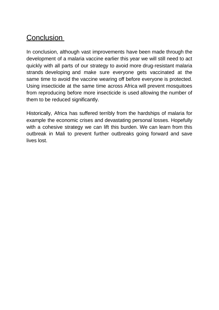# <span id="page-8-0"></span>**Conclusion**

In conclusion, although vast improvements have been made through the development of a malaria vaccine earlier this year we will still need to act quickly with all parts of our strategy to avoid more drug-resistant malaria strands developing and make sure everyone gets vaccinated at the same time to avoid the vaccine wearing off before everyone is protected. Using insecticide at the same time across Africa will prevent mosquitoes from reproducing before more insecticide is used allowing the number of them to be reduced significantly.

Historically, Africa has suffered terribly from the hardships of malaria for example the economic crises and devastating personal losses. Hopefully with a cohesive strategy we can lift this burden. We can learn from this outbreak in Mali to prevent further outbreaks going forward and save lives lost.